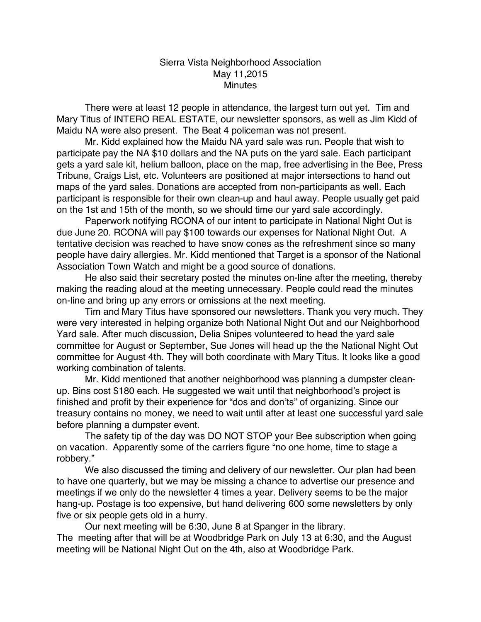## Sierra Vista Neighborhood Association May 11,2015 **Minutes**

There were at least 12 people in attendance, the largest turn out yet. Tim and Mary Titus of INTERO REAL ESTATE, our newsletter sponsors, as well as Jim Kidd of Maidu NA were also present. The Beat 4 policeman was not present.

Mr. Kidd explained how the Maidu NA yard sale was run. People that wish to participate pay the NA \$10 dollars and the NA puts on the yard sale. Each participant gets a yard sale kit, helium balloon, place on the map, free advertising in the Bee, Press Tribune, Craigs List, etc. Volunteers are positioned at major intersections to hand out maps of the yard sales. Donations are accepted from non-participants as well. Each participant is responsible for their own clean-up and haul away. People usually get paid on the 1st and 15th of the month, so we should time our yard sale accordingly.

Paperwork notifying RCONA of our intent to participate in National Night Out is due June 20. RCONA will pay \$100 towards our expenses for National Night Out. A tentative decision was reached to have snow cones as the refreshment since so many people have dairy allergies. Mr. Kidd mentioned that Target is a sponsor of the National Association Town Watch and might be a good source of donations.

He also said their secretary posted the minutes on-line after the meeting, thereby making the reading aloud at the meeting unnecessary. People could read the minutes on-line and bring up any errors or omissions at the next meeting.

Tim and Mary Titus have sponsored our newsletters. Thank you very much. They were very interested in helping organize both National Night Out and our Neighborhood Yard sale. After much discussion, Delia Snipes volunteered to head the yard sale committee for August or September, Sue Jones will head up the the National Night Out committee for August 4th. They will both coordinate with Mary Titus. It looks like a good working combination of talents.

Mr. Kidd mentioned that another neighborhood was planning a dumpster cleanup. Bins cost \$180 each. He suggested we wait until that neighborhood's project is finished and profit by their experience for "dos and don'ts" of organizing. Since our treasury contains no money, we need to wait until after at least one successful yard sale before planning a dumpster event.

The safety tip of the day was DO NOT STOP your Bee subscription when going on vacation. Apparently some of the carriers figure "no one home, time to stage a robbery."

We also discussed the timing and delivery of our newsletter. Our plan had been to have one quarterly, but we may be missing a chance to advertise our presence and meetings if we only do the newsletter 4 times a year. Delivery seems to be the major hang-up. Postage is too expensive, but hand delivering 600 some newsletters by only five or six people gets old in a hurry.

Our next meeting will be 6:30, June 8 at Spanger in the library. The meeting after that will be at Woodbridge Park on July 13 at 6:30, and the August meeting will be National Night Out on the 4th, also at Woodbridge Park.